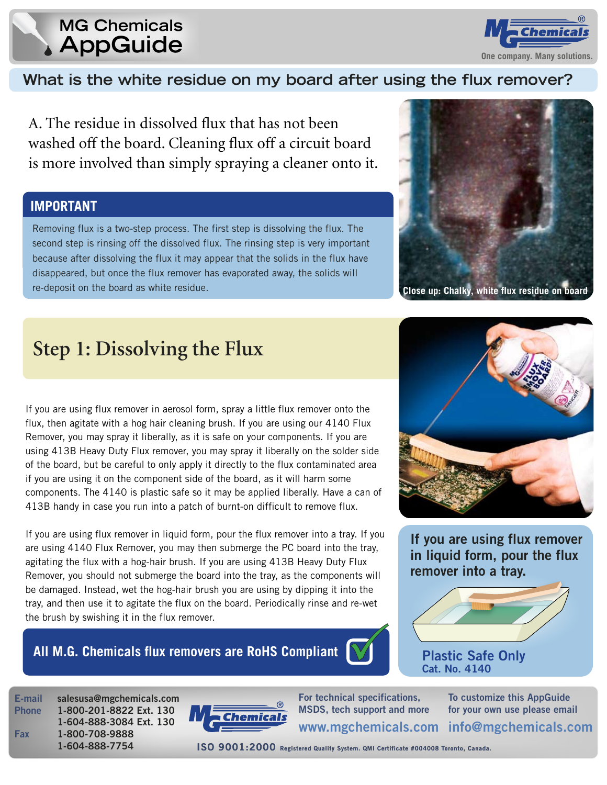### **MG Chemicals AppGuide**



#### What is the white residue on my board after using the flux remover?

A. The residue in dissolved flux that has not been washed off the board. Cleaning flux off a circuit board is more involved than simply spraying a cleaner onto it.

#### **IMPORTANT**

Removing flux is a two-step process. The first step is dissolving the flux. The second step is rinsing off the dissolved flux. The rinsing step is very important because after dissolving the flux it may appear that the solids in the flux have disappeared, but once the flux remover has evaporated away, the solids will re-deposit on the board as white residue.



Close up: Chalky, white flux residue on board

# **Step 1: Dissolving the Flux**

If you are using flux remover in aerosol form, spray a little flux remover onto the flux, then agitate with a hog hair cleaning brush. If you are using our 4140 Flux Remover, you may spray it liberally, as it is safe on your components. If you are using 413B Heavy Duty Flux remover, you may spray it liberally on the solder side of the board, but be careful to only apply it directly to the flux contaminated area if you are using it on the component side of the board, as it will harm some components. The 4140 is plastic safe so it may be applied liberally. Have a can of 413B handy in case you run into a patch of burnt-on difficult to remove flux.

If you are using flux remover in liquid form, pour the flux remover into a tray. If you are using 4140 Flux Remover, you may then submerge the PC board into the tray, agitating the flux with a hog-hair brush. If you are using 413B Heavy Duty Flux Remover, you should not submerge the board into the tray, as the components will be damaged. Instead, wet the hog-hair brush you are using by dipping it into the tray, and then use it to agitate the flux on the board. Periodically rinse and re-wet the brush by swishing it in the flux remover.

#### All M.G. Chemicals flux removers are RoHS Compliant





If you are using flux remover in liquid form, pour the flux remover into a tray.



**Plastic Safe Only** Cat. No. 4140

E-mail **Phone** 

**Fax** 

salesusa@mgchemicals.com 1-800-201-8822 Ext. 130 1-604-888-3084 Ext. 130 1-800-708-9888 1-604-888-7754



For technical specifications, MSDS, tech support and more To customize this AppGuide for your own use please email

www.mgchemicals.com info@mgchemicals.com

ISO 9001:2000 Registered Quality System. QMI Certificate #004008 Toronto, Canada.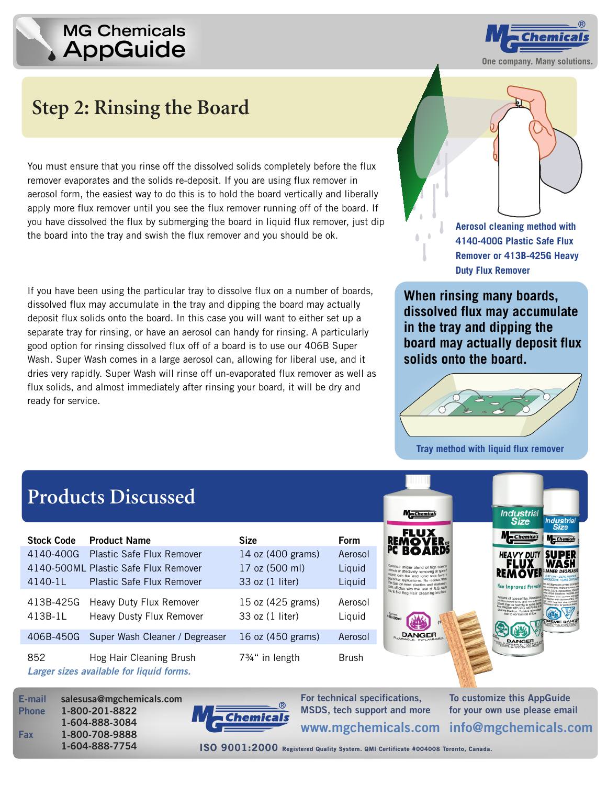## **AppGuide MG Chemicals**



# **Step 2: Rinsing the Board**

You must ensure that you rinse off the dissolved solids completely before the flux remover evaporates and the solids re-deposit. If you are using flux remover in aerosol form, the easiest way to do this is to hold the board vertically and liberally apply more flux remover until you see the flux remover running off of the board. If you have dissolved the flux by submerging the board in liquid flux remover, just dip the board into the tray and swish the flux remover and you should be ok.

If you have been using the particular tray to dissolve flux on a number of boards, dissolved flux may accumulate in the tray and dipping the board may actually deposit flux solids onto the board. In this case you will want to either set up a separate tray for rinsing, or have an aerosol can handy for rinsing. A particularly good option for rinsing dissolved flux off of a board is to use our 406B Super Wash. Super Wash comes in a large aerosol can, allowing for liberal use, and it dries very rapidly. Super Wash will rinse off un-evaporated flux remover as well as flux solids, and almost immediately after rinsing your board, it will be dry and ready for service.



**Aerosol cleaning method with 4140-400G Plastic Safe Flux Remover or 413B-425G Heavy Duty Flux Remover**

**When rinsing many boards, dissolved flux may accumulate in the tray and dipping the board may actually deposit flux solids onto the board.**



**Tray method with liquid flux remover**

# **Products Discussed**

| <b>Stock Code</b>    | <b>Product Name</b>                                                 | <b>Size</b>                          | Form              |
|----------------------|---------------------------------------------------------------------|--------------------------------------|-------------------|
| 4140-400G            | <b>Plastic Safe Flux Remover</b>                                    | 14 oz (400 grams)                    | Aerosol           |
|                      | 4140-500ML Plastic Safe Flux Remover                                | 17 oz (500 ml)                       | Liquid            |
| 4140-1L              | <b>Plastic Safe Flux Remover</b>                                    | 33 oz (1 liter)                      | Liquid            |
| 413B-425G<br>413B-1L | Heavy Duty Flux Remover<br><b>Heavy Dusty Flux Remover</b>          | 15 oz (425 grams)<br>33 oz (1 liter) | Aerosol<br>Liquid |
| 406B-450G            | Super Wash Cleaner / Degreaser                                      | 16 oz (450 grams)                    | Aerosol           |
| 852                  | Hog Hair Cleaning Brush<br>Larger sizes available for liquid forms. | $7\frac{3}{4}$ " in length           | <b>Brush</b>      |







**For technical specifications, MSDS, tech support and more**

**To customize this AppGuide for your own use please email info@mgchemicals.com www.mgchemicals.com**

**1-604-888-7754 ISO 9001:2000 Registered Quality System. QMI Certificate #004008 Toronto, Canada oronto, Canada.**